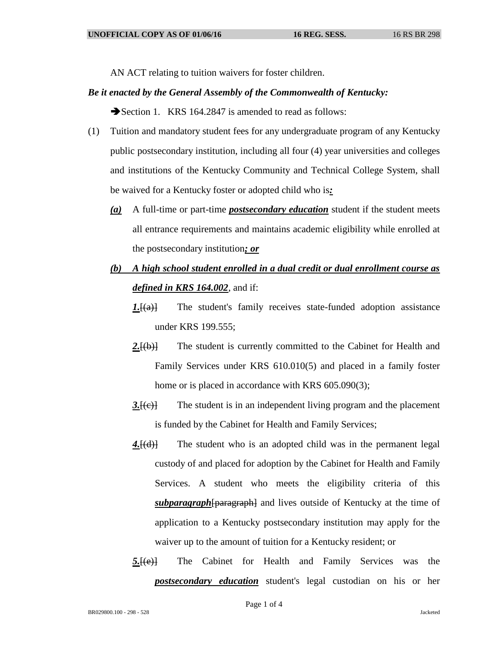AN ACT relating to tuition waivers for foster children.

## *Be it enacted by the General Assembly of the Commonwealth of Kentucky:*

Section 1. KRS 164.2847 is amended to read as follows:

- (1) Tuition and mandatory student fees for any undergraduate program of any Kentucky public postsecondary institution, including all four (4) year universities and colleges and institutions of the Kentucky Community and Technical College System, shall be waived for a Kentucky foster or adopted child who is*:*
	- *(a)* A full-time or part-time *postsecondary education* student if the student meets all entrance requirements and maintains academic eligibility while enrolled at the postsecondary institution*; or*
	- *(b) A high school student enrolled in a dual credit or dual enrollment course as defined in KRS 164.002*, and if:
		- *1.* [(a)] The student's family receives state-funded adoption assistance under KRS 199.555;
		- 2.<del>[(b)]</del> The student is currently committed to the Cabinet for Health and Family Services under KRS 610.010(5) and placed in a family foster home or is placed in accordance with KRS 605.090(3);
		- *3.* [(e)] The student is in an independent living program and the placement is funded by the Cabinet for Health and Family Services;
		- 4.<del>[(d)]</del> The student who is an adopted child was in the permanent legal custody of and placed for adoption by the Cabinet for Health and Family Services. A student who meets the eligibility criteria of this *subparagraph*[paragraph] and lives outside of Kentucky at the time of application to a Kentucky postsecondary institution may apply for the waiver up to the amount of tuition for a Kentucky resident; or
		- *5.*[(e)] The Cabinet for Health and Family Services was the *postsecondary education* student's legal custodian on his or her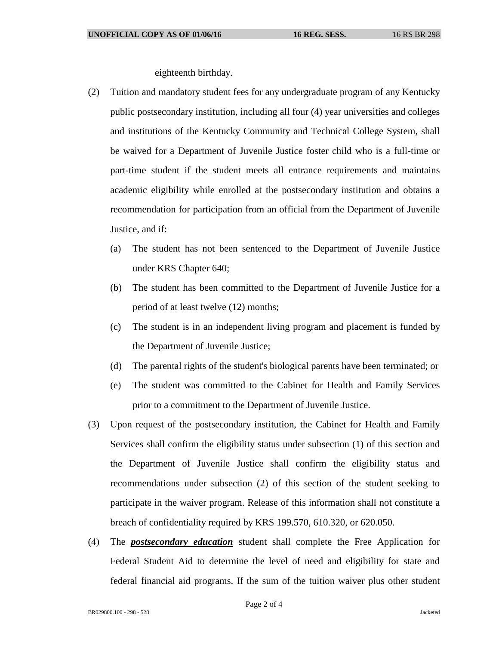eighteenth birthday.

- (2) Tuition and mandatory student fees for any undergraduate program of any Kentucky public postsecondary institution, including all four (4) year universities and colleges and institutions of the Kentucky Community and Technical College System, shall be waived for a Department of Juvenile Justice foster child who is a full-time or part-time student if the student meets all entrance requirements and maintains academic eligibility while enrolled at the postsecondary institution and obtains a recommendation for participation from an official from the Department of Juvenile Justice, and if:
	- (a) The student has not been sentenced to the Department of Juvenile Justice under KRS Chapter 640;
	- (b) The student has been committed to the Department of Juvenile Justice for a period of at least twelve (12) months;
	- (c) The student is in an independent living program and placement is funded by the Department of Juvenile Justice;
	- (d) The parental rights of the student's biological parents have been terminated; or
	- (e) The student was committed to the Cabinet for Health and Family Services prior to a commitment to the Department of Juvenile Justice.
- (3) Upon request of the postsecondary institution, the Cabinet for Health and Family Services shall confirm the eligibility status under subsection (1) of this section and the Department of Juvenile Justice shall confirm the eligibility status and recommendations under subsection (2) of this section of the student seeking to participate in the waiver program. Release of this information shall not constitute a breach of confidentiality required by KRS 199.570, 610.320, or 620.050.
- (4) The *postsecondary education* student shall complete the Free Application for Federal Student Aid to determine the level of need and eligibility for state and federal financial aid programs. If the sum of the tuition waiver plus other student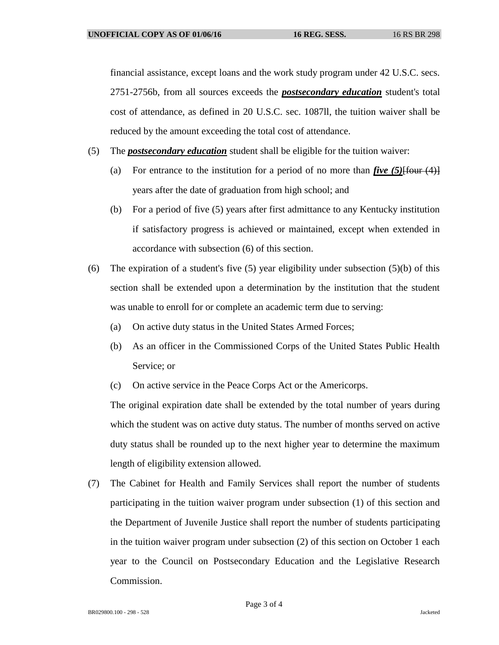financial assistance, except loans and the work study program under 42 U.S.C. secs. 2751-2756b, from all sources exceeds the *postsecondary education* student's total cost of attendance, as defined in 20 U.S.C. sec. 1087ll, the tuition waiver shall be reduced by the amount exceeding the total cost of attendance.

- (5) The *postsecondary education* student shall be eligible for the tuition waiver:
	- (a) For entrance to the institution for a period of no more than  $\mathbf{five}$  (5) $\text{Ifour (4)}$ years after the date of graduation from high school; and
	- (b) For a period of five (5) years after first admittance to any Kentucky institution if satisfactory progress is achieved or maintained, except when extended in accordance with subsection (6) of this section.
- (6) The expiration of a student's five  $(5)$  year eligibility under subsection  $(5)(b)$  of this section shall be extended upon a determination by the institution that the student was unable to enroll for or complete an academic term due to serving:
	- (a) On active duty status in the United States Armed Forces;
	- (b) As an officer in the Commissioned Corps of the United States Public Health Service; or
	- (c) On active service in the Peace Corps Act or the Americorps.

The original expiration date shall be extended by the total number of years during which the student was on active duty status. The number of months served on active duty status shall be rounded up to the next higher year to determine the maximum length of eligibility extension allowed.

(7) The Cabinet for Health and Family Services shall report the number of students participating in the tuition waiver program under subsection (1) of this section and the Department of Juvenile Justice shall report the number of students participating in the tuition waiver program under subsection (2) of this section on October 1 each year to the Council on Postsecondary Education and the Legislative Research Commission.